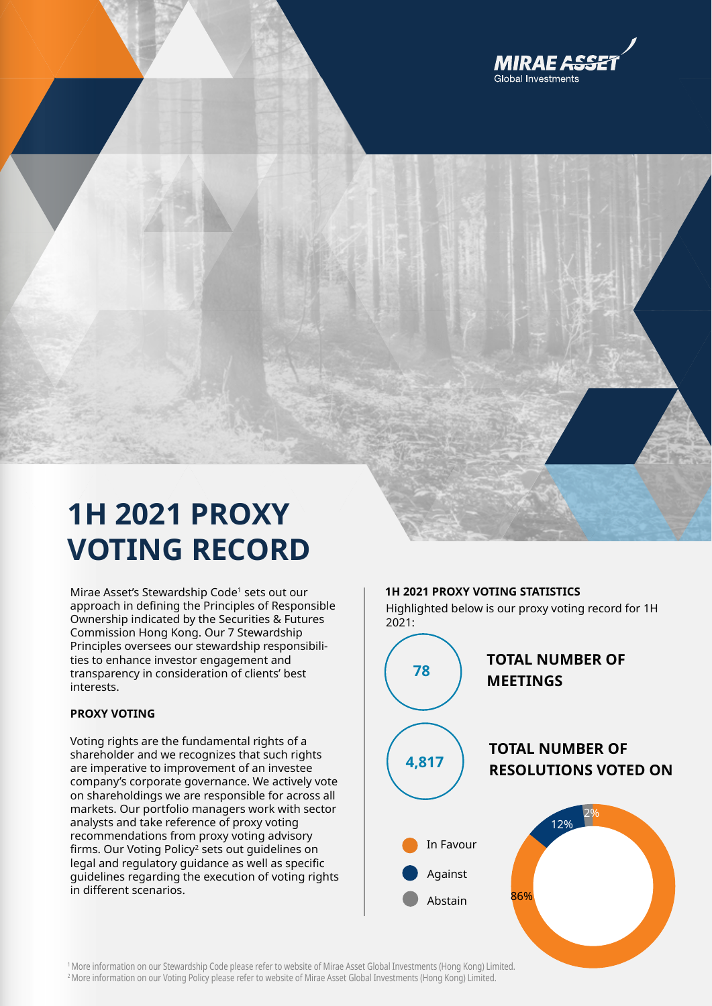

## **1H 2021 PROXY VOTING RECORD**

Mirae Asset's Stewardship Code<sup>1</sup> sets out our approach in defining the Principles of Responsible Ownership indicated by the Securities & Futures Commission Hong Kong. Our 7 Stewardship Principles oversees our stewardship responsibilities to enhance investor engagement and transparency in consideration of clients' best interests.

## **PROXY VOTING**

Voting rights are the fundamental rights of a shareholder and we recognizes that such rights are imperative to improvement of an investee company's corporate governance. We actively vote on shareholdings we are responsible for across all markets. Our portfolio managers work with sector analysts and take reference of proxy voting recommendations from proxy voting advisory firms. Our Voting Policy<sup>2</sup> sets out guidelines on legal and regulatory guidance as well as specific guidelines regarding the execution of voting rights in different scenarios.



<sup>1</sup> More information on our Stewardship Code please refer to website of Mirae Asset Global Investments (Hong Kong) Limited. 2 More information on our Voting Policy please refer to website of Mirae Asset Global Investments (Hong Kong) Limited.